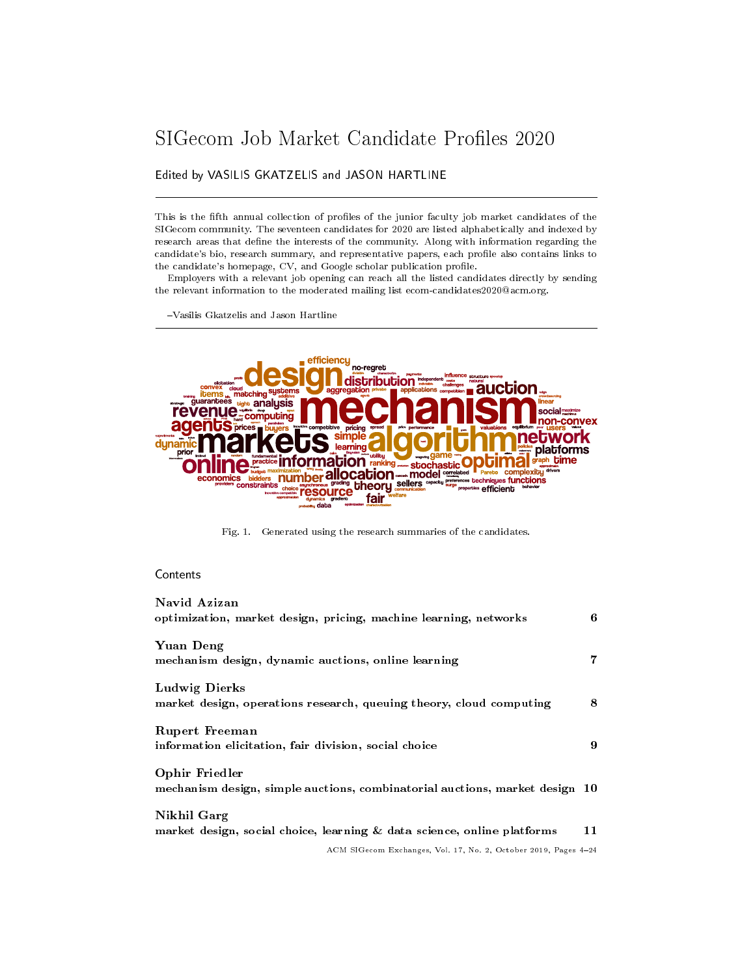# <span id="page-0-0"></span>SIGecom Job Market Candidate Profiles 2020

# Edited by VASILIS GKATZELIS and JASON HARTLINE

This is the fifth annual collection of profiles of the junior faculty job market candidates of the SIGecom community. The seventeen candidates for 2020 are listed alphabetically and indexed by research areas that define the interests of the community. Along with information regarding the candidate's bio, research summary, and representative papers, each prole also contains links to the candidate's homepage, CV, and Google scholar publication profile.

Employers with a relevant job opening can reach all the listed candidates directly by sending the relevant information to the moderated mailing list ecom-candidates2020@acm.org.

Vasilis Gkatzelis and Jason Hartline



Fig. 1. Generated using the research summaries of the candidates.

# Contents

| Navid Azizan<br>optimization, market design, pricing, machine learning, networks              | 6  |
|-----------------------------------------------------------------------------------------------|----|
| Yuan Deng<br>mechanism design, dynamic auctions, online learning                              | 7  |
| Ludwig Dierks<br>market design, operations research, queuing theory, cloud computing          | 8  |
| Rupert Freeman<br>information elicitation, fair division, social choice                       | 9  |
| Ophir Friedler<br>mechanism design, simple auctions, combinatorial auctions, market design 10 |    |
| Nikhil Garg<br>market design, social choice, learning & data science, online platforms        | 11 |
| ACM SIGecom Exchanges, Vol. 17, No. 2, October 2019, Pages 4-24                               |    |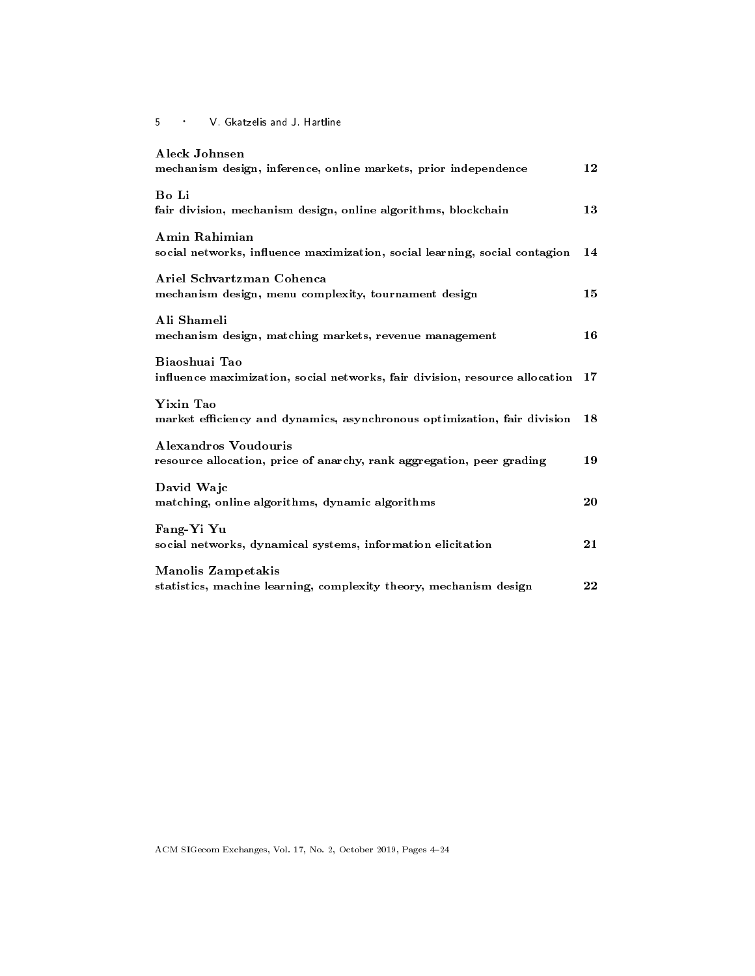| Aleck Johnsen<br>mechanism design, inference, online markets, prior independence               | 12 |
|------------------------------------------------------------------------------------------------|----|
| Bo Li<br>fair division, mechanism design, online algorithms, blockchain                        | 13 |
| Amin Rahimian<br>social networks, influence maximization, social learning, social contagion    | 14 |
| Ariel Schvartzman Cohenca<br>mechanism design, menu complexity, tournament design              | 15 |
| Ali Shameli<br>mechanism design, matching markets, revenue management                          | 16 |
| Biaoshuai Tao<br>influence maximization, social networks, fair division, resource allocation   | 17 |
| Yixin Tao<br>market efficiency and dynamics, asynchronous optimization, fair division          | 18 |
| Alexandros Voudouris<br>resource allocation, price of anarchy, rank aggregation, peer grading  | 19 |
| David Wajc<br>matching, online algorithms, dynamic algorithms                                  | 20 |
| Fang-Yi Yu<br>social networks, dynamical systems, information elicitation                      | 21 |
| <b>Manolis Zampetakis</b><br>statistics, machine learning, complexity theory, mechanism design | 22 |

ACM SIGecom Exchanges, Vol. 17, No. 2, October 2019, Pages [4](#page-0-0)24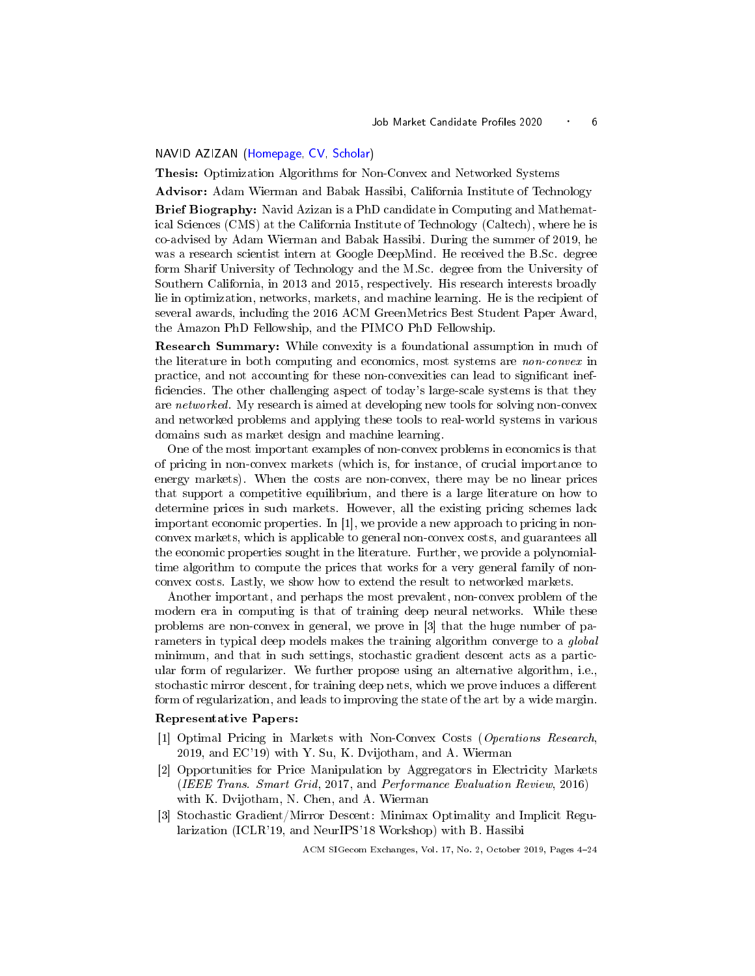#### <span id="page-2-1"></span><span id="page-2-0"></span>NAVID AZIZAN [\(Homepage,](http://www.caltech.edu/~nazizanr) [CV,](https://drive.google.com/file/d/1TbgTVBx_w4Na_bFJMITk1xIvuuBuahSe) [Scholar\)](https://scholar.google.com/citations?user=3gMiILkAAAAJ)

Thesis: Optimization Algorithms for Non-Convex and Networked Systems

Advisor: Adam Wierman and Babak Hassibi, California Institute of Technology

Brief Biography: Navid Azizan is a PhD candidate in Computing and Mathematical Sciences (CMS) at the California Institute of Technology (Caltech), where he is co-advised by Adam Wierman and Babak Hassibi. During the summer of 2019, he was a research scientist intern at Google DeepMind. He received the B.Sc. degree form Sharif University of Technology and the M.Sc. degree from the University of Southern California, in 2013 and 2015, respectively. His research interests broadly lie in optimization, networks, markets, and machine learning. He is the recipient of several awards, including the 2016 ACM GreenMetrics Best Student Paper Award, the Amazon PhD Fellowship, and the PIMCO PhD Fellowship.

Research Summary: While convexity is a foundational assumption in much of the literature in both computing and economics, most systems are *non-convex* in practice, and not accounting for these non-convexities can lead to signicant inef ficiencies. The other challenging aspect of today's large-scale systems is that they are networked. My research is aimed at developing new tools for solving non-convex and networked problems and applying these tools to real-world systems in various domains such as market design and machine learning.

One of the most important examples of non-convex problems in economics is that of pricing in non-convex markets (which is, for instance, of crucial importance to energy markets). When the costs are non-convex, there may be no linear prices that support a competitive equilibrium, and there is a large literature on how to determine prices in such markets. However, all the existing pricing schemes lack important economic properties. In [1], we provide a new approach to pricing in nonconvex markets, which is applicable to general non-convex costs, and guarantees all the economic properties sought in the literature. Further, we provide a polynomialtime algorithm to compute the prices that works for a very general family of nonconvex costs. Lastly, we show how to extend the result to networked markets.

Another important, and perhaps the most prevalent, non-convex problem of the modern era in computing is that of training deep neural networks. While these problems are non-convex in general, we prove in [3] that the huge number of parameters in typical deep models makes the training algorithm converge to a global minimum, and that in such settings, stochastic gradient descent acts as a particular form of regularizer. We further propose using an alternative algorithm, i.e., stochastic mirror descent, for training deep nets, which we prove induces a different form of regularization, and leads to improving the state of the art by a wide margin.

#### Representative Papers:

- [1] Optimal Pricing in Markets with Non-Convex Costs (Operations Research, 2019, and EC'19) with Y. Su, K. Dvijotham, and A. Wierman
- [2] Opportunities for Price Manipulation by Aggregators in Electricity Markets (IEEE Trans. Smart Grid, 2017, and Performance Evaluation Review, 2016) with K. Dvijotham, N. Chen, and A. Wierman
- [3] Stochastic Gradient/Mirror Descent: Minimax Optimality and Implicit Regularization (ICLR'19, and NeurIPS'18 Workshop) with B. Hassibi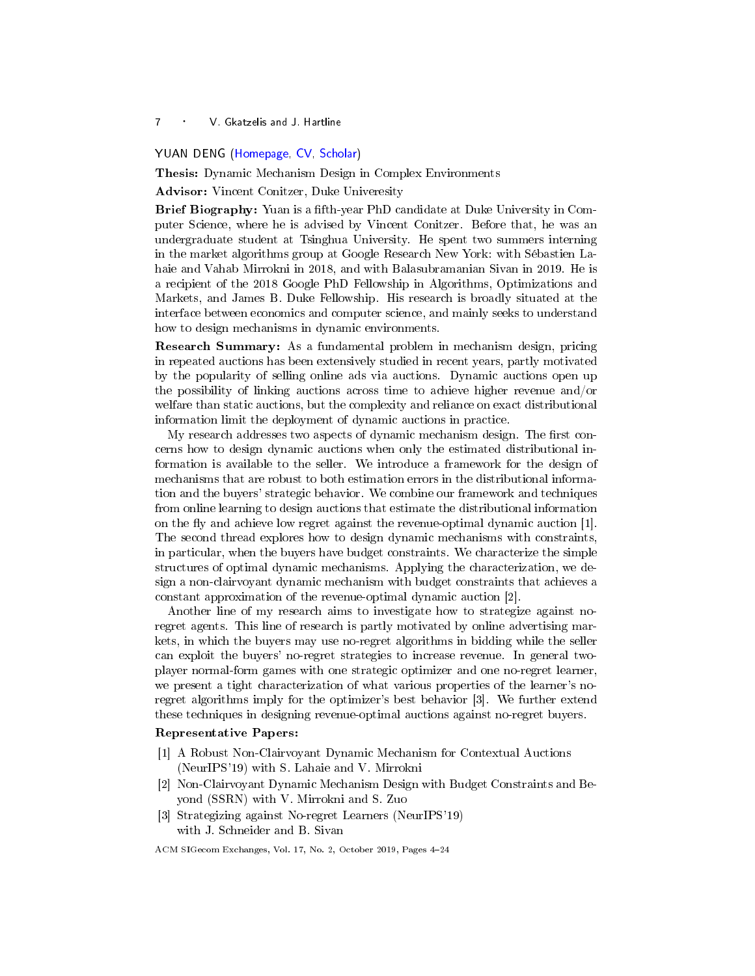#### <span id="page-3-1"></span><span id="page-3-0"></span>YUAN DENG [\(Homepage,](https://users.cs.duke.edu/~ericdy) [CV,](https://users.cs.duke.edu/~ericdy/cv_yuan.pdf) [Scholar\)](https://scholar.google.com/citations?user=OoTMmy8AAAAJ)

Thesis: Dynamic Mechanism Design in Complex Environments

Advisor: Vincent Conitzer, Duke Univeresity

Brief Biography: Yuan is a fifth-year PhD candidate at Duke University in Computer Science, where he is advised by Vincent Conitzer. Before that, he was an undergraduate student at Tsinghua University. He spent two summers interning in the market algorithms group at Google Research New York: with Sébastien Lahaie and Vahab Mirrokni in 2018, and with Balasubramanian Sivan in 2019. He is a recipient of the 2018 Google PhD Fellowship in Algorithms, Optimizations and Markets, and James B. Duke Fellowship. His research is broadly situated at the interface between economics and computer science, and mainly seeks to understand how to design mechanisms in dynamic environments.

Research Summary: As a fundamental problem in mechanism design, pricing in repeated auctions has been extensively studied in recent years, partly motivated by the popularity of selling online ads via auctions. Dynamic auctions open up the possibility of linking auctions across time to achieve higher revenue and/or welfare than static auctions, but the complexity and reliance on exact distributional information limit the deployment of dynamic auctions in practice.

My research addresses two aspects of dynamic mechanism design. The first concerns how to design dynamic auctions when only the estimated distributional information is available to the seller. We introduce a framework for the design of mechanisms that are robust to both estimation errors in the distributional information and the buyers' strategic behavior. We combine our framework and techniques from online learning to design auctions that estimate the distributional information on the fly and achieve low regret against the revenue-optimal dynamic auction  $[1]$ . The second thread explores how to design dynamic mechanisms with constraints, in particular, when the buyers have budget constraints. We characterize the simple structures of optimal dynamic mechanisms. Applying the characterization, we design a non-clairvoyant dynamic mechanism with budget constraints that achieves a constant approximation of the revenue-optimal dynamic auction [2].

Another line of my research aims to investigate how to strategize against noregret agents. This line of research is partly motivated by online advertising markets, in which the buyers may use no-regret algorithms in bidding while the seller can exploit the buyers' no-regret strategies to increase revenue. In general twoplayer normal-form games with one strategic optimizer and one no-regret learner, we present a tight characterization of what various properties of the learner's noregret algorithms imply for the optimizer's best behavior [3]. We further extend these techniques in designing revenue-optimal auctions against no-regret buyers.

#### Representative Papers:

- [1] A Robust Non-Clairvoyant Dynamic Mechanism for Contextual Auctions (NeurIPS'19) with S. Lahaie and V. Mirrokni
- [2] Non-Clairvoyant Dynamic Mechanism Design with Budget Constraints and Beyond (SSRN) with V. Mirrokni and S. Zuo
- [3] Strategizing against No-regret Learners (NeurIPS'19) with J. Schneider and B. Sivan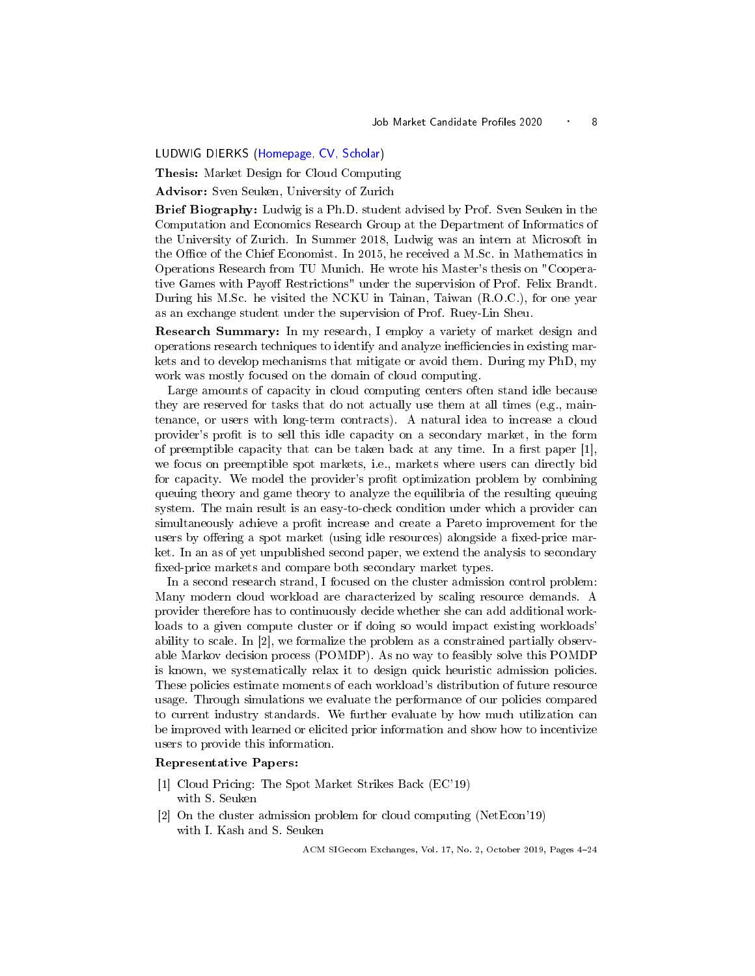<span id="page-4-1"></span><span id="page-4-0"></span>LUDWIG DIERKS [\(Homepage,](https://www.ifi.uzh.ch/en/ce/people/dierks.html) [CV,](https://www.ifi.uzh.ch/dam/ifi/ce/people/dierks/CV_ludwig_dierks.pdf) [Scholar\)](https://scholar.google.com/citations?user=iBNwMZYAAAAJ&hl=en)

Thesis: Market Design for Cloud Computing

Advisor: Sven Seuken, University of Zurich

Brief Biography: Ludwig is a Ph.D. student advised by Prof. Sven Seuken in the Computation and Economics Research Group at the Department of Informatics of the University of Zurich. In Summer 2018, Ludwig was an intern at Microsoft in the Office of the Chief Economist. In 2015, he received a M.Sc. in Mathematics in Operations Research from TU Munich. He wrote his Master's thesis on "Cooperative Games with Payoff Restrictions" under the supervision of Prof. Felix Brandt. During his M.Sc. he visited the NCKU in Tainan, Taiwan (R.O.C.), for one year as an exchange student under the supervision of Prof. Ruey-Lin Sheu.

Research Summary: In my research, I employ a variety of market design and operations research techniques to identify and analyze ineciencies in existing markets and to develop mechanisms that mitigate or avoid them. During my PhD, my work was mostly focused on the domain of cloud computing.

Large amounts of capacity in cloud computing centers often stand idle because they are reserved for tasks that do not actually use them at all times (e.g., maintenance, or users with long-term contracts). A natural idea to increase a cloud provider's prot is to sell this idle capacity on a secondary market, in the form of preemptible capacity that can be taken back at any time. In a first paper  $[1]$ , we focus on preemptible spot markets, i.e., markets where users can directly bid for capacity. We model the provider's profit optimization problem by combining queuing theory and game theory to analyze the equilibria of the resulting queuing system. The main result is an easy-to-check condition under which a provider can simultaneously achieve a profit increase and create a Pareto improvement for the users by offering a spot market (using idle resources) alongside a fixed-price market. In an as of yet unpublished second paper, we extend the analysis to secondary xed-price markets and compare both secondary market types.

In a second research strand, I focused on the cluster admission control problem: Many modern cloud workload are characterized by scaling resource demands. A provider therefore has to continuously decide whether she can add additional workloads to a given compute cluster or if doing so would impact existing workloads' ability to scale. In [2], we formalize the problem as a constrained partially observable Markov decision process (POMDP). As no way to feasibly solve this POMDP is known, we systematically relax it to design quick heuristic admission policies. These policies estimate moments of each workload's distribution of future resource usage. Through simulations we evaluate the performance of our policies compared to current industry standards. We further evaluate by how much utilization can be improved with learned or elicited prior information and show how to incentivize users to provide this information.

#### Representative Papers:

- [1] Cloud Pricing: The Spot Market Strikes Back (EC'19) with S. Seuken
- [2] On the cluster admission problem for cloud computing (NetEcon'19) with I. Kash and S. Seuken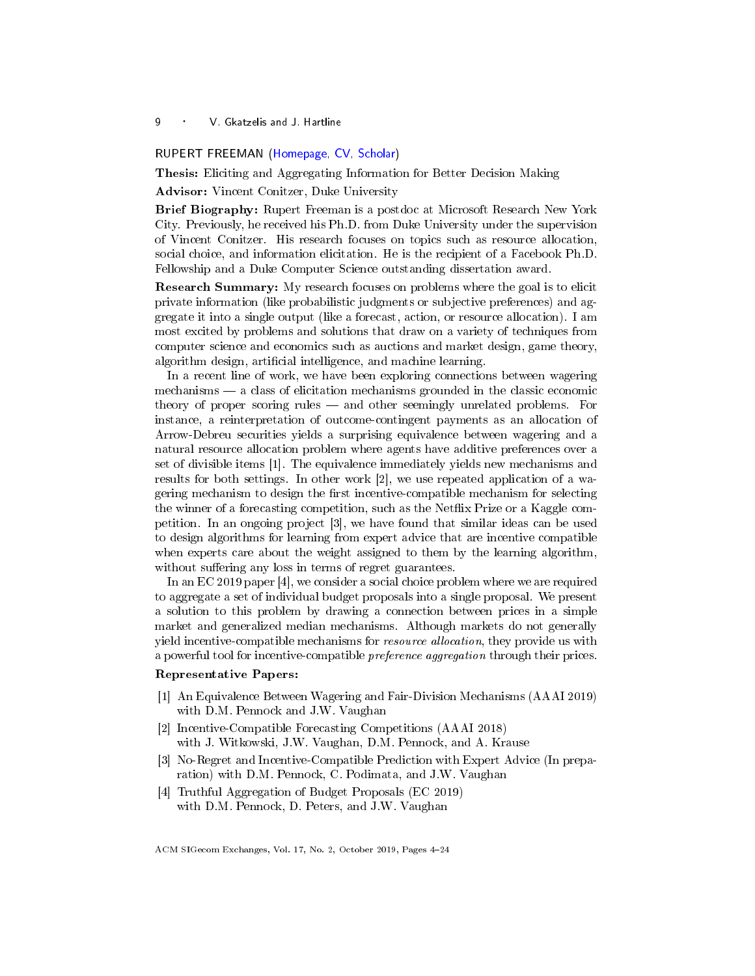#### <span id="page-5-1"></span><span id="page-5-0"></span>RUPERT FREEMAN [\(Homepage,](https://users.cs.duke.edu/~rupert/) [CV,](https://users.cs.duke.edu/~rupert/cv.pdf) [Scholar\)](https://scholar.google.com/citations?user=8myNyx4AAAAJ&hl=en)

Thesis: Eliciting and Aggregating Information for Better Decision Making

Advisor: Vincent Conitzer, Duke University

Brief Biography: Rupert Freeman is a postdoc at Microsoft Research New York City. Previously, he received his Ph.D. from Duke University under the supervision of Vincent Conitzer. His research focuses on topics such as resource allocation, social choice, and information elicitation. He is the recipient of a Facebook Ph.D. Fellowship and a Duke Computer Science outstanding dissertation award.

Research Summary: My research focuses on problems where the goal is to elicit private information (like probabilistic judgments or subjective preferences) and aggregate it into a single output (like a forecast, action, or resource allocation). I am most excited by problems and solutions that draw on a variety of techniques from computer science and economics such as auctions and market design, game theory, algorithm design, artificial intelligence, and machine learning.

In a recent line of work, we have been exploring connections between wagering  $mechanisms \rightarrow a$  class of elicitation mechanisms grounded in the classic economic theory of proper scoring rules — and other seemingly unrelated problems. For instance, a reinterpretation of outcome-contingent payments as an allocation of Arrow-Debreu securities yields a surprising equivalence between wagering and a natural resource allocation problem where agents have additive preferences over a set of divisible items [1]. The equivalence immediately yields new mechanisms and results for both settings. In other work [2], we use repeated application of a wagering mechanism to design the first incentive-compatible mechanism for selecting the winner of a forecasting competition, such as the Netix Prize or a Kaggle competition. In an ongoing project [3], we have found that similar ideas can be used to design algorithms for learning from expert advice that are incentive compatible when experts care about the weight assigned to them by the learning algorithm, without suffering any loss in terms of regret guarantees.

In an EC 2019 paper [4], we consider a social choice problem where we are required to aggregate a set of individual budget proposals into a single proposal. We present a solution to this problem by drawing a connection between prices in a simple market and generalized median mechanisms. Although markets do not generally yield incentive-compatible mechanisms for resource allocation, they provide us with a powerful tool for incentive-compatible preference aggregation through their prices.

#### Representative Papers:

- [1] An Equivalence Between Wagering and Fair-Division Mechanisms (AAAI 2019) with D.M. Pennock and J.W. Vaughan
- [2] Incentive-Compatible Forecasting Competitions (AAAI 2018) with J. Witkowski, J.W. Vaughan, D.M. Pennock, and A. Krause
- [3] No-Regret and Incentive-Compatible Prediction with Expert Advice (In preparation) with D.M. Pennock, C. Podimata, and J.W. Vaughan
- [4] Truthful Aggregation of Budget Proposals (EC 2019) with D.M. Pennock, D. Peters, and J.W. Vaughan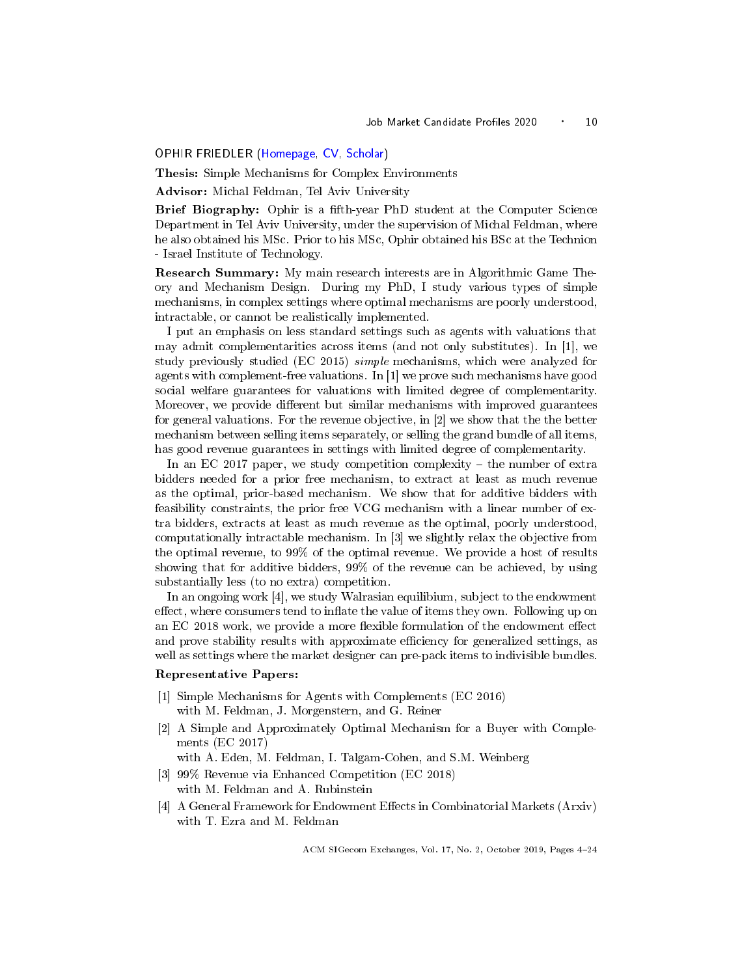#### <span id="page-6-1"></span><span id="page-6-0"></span>OPHIR FRIEDLER [\(Homepage,](https://www.cs.tau.ac.il/~ophirf/) [CV,](https://www.cs.tau.ac.il/~ophirf/cv.pdf) [Scholar\)](https://scholar.google.co.il/citations?user=avRZjLsAAAAJ&hl=en)

Thesis: Simple Mechanisms for Complex Environments

Advisor: Michal Feldman, Tel Aviv University

Brief Biography: Ophir is a fth-year PhD student at the Computer Science Department in Tel Aviv University, under the supervision of Michal Feldman, where he also obtained his MSc. Prior to his MSc, Ophir obtained his BSc at the Technion - Israel Institute of Technology.

Research Summary: My main research interests are in Algorithmic Game Theory and Mechanism Design. During my PhD, I study various types of simple mechanisms, in complex settings where optimal mechanisms are poorly understood, intractable, or cannot be realistically implemented.

I put an emphasis on less standard settings such as agents with valuations that may admit complementarities across items (and not only substitutes). In [1], we study previously studied (EC 2015) simple mechanisms, which were analyzed for agents with complement-free valuations. In [1] we prove such mechanisms have good social welfare guarantees for valuations with limited degree of complementarity. Moreover, we provide different but similar mechanisms with improved guarantees for general valuations. For the revenue objective, in [2] we show that the the better mechanism between selling items separately, or selling the grand bundle of all items, has good revenue guarantees in settings with limited degree of complementarity.

In an EC 2017 paper, we study competition complexity  $-$  the number of extra bidders needed for a prior free mechanism, to extract at least as much revenue as the optimal, prior-based mechanism. We show that for additive bidders with feasibility constraints, the prior free VCG mechanism with a linear number of extra bidders, extracts at least as much revenue as the optimal, poorly understood, computationally intractable mechanism. In [3] we slightly relax the objective from the optimal revenue, to 99% of the optimal revenue. We provide a host of results showing that for additive bidders, 99% of the revenue can be achieved, by using substantially less (to no extra) competition.

In an ongoing work [4], we study Walrasian equilibium, subject to the endowment effect, where consumers tend to inflate the value of items they own. Following up on an EC 2018 work, we provide a more flexible formulation of the endowment effect and prove stability results with approximate efficiency for generalized settings, as well as settings where the market designer can pre-pack items to indivisible bundles.

#### Representative Papers:

- [1] Simple Mechanisms for Agents with Complements (EC 2016) with M. Feldman, J. Morgenstern, and G. Reiner
- [2] A Simple and Approximately Optimal Mechanism for a Buyer with Complements (EC 2017)

with A. Eden, M. Feldman, I. Talgam-Cohen, and S.M. Weinberg

- [3] 99% Revenue via Enhanced Competition (EC 2018) with M. Feldman and A. Rubinstein
- [4] A General Framework for Endowment Effects in Combinatorial Markets (Arxiv) with T. Ezra and M. Feldman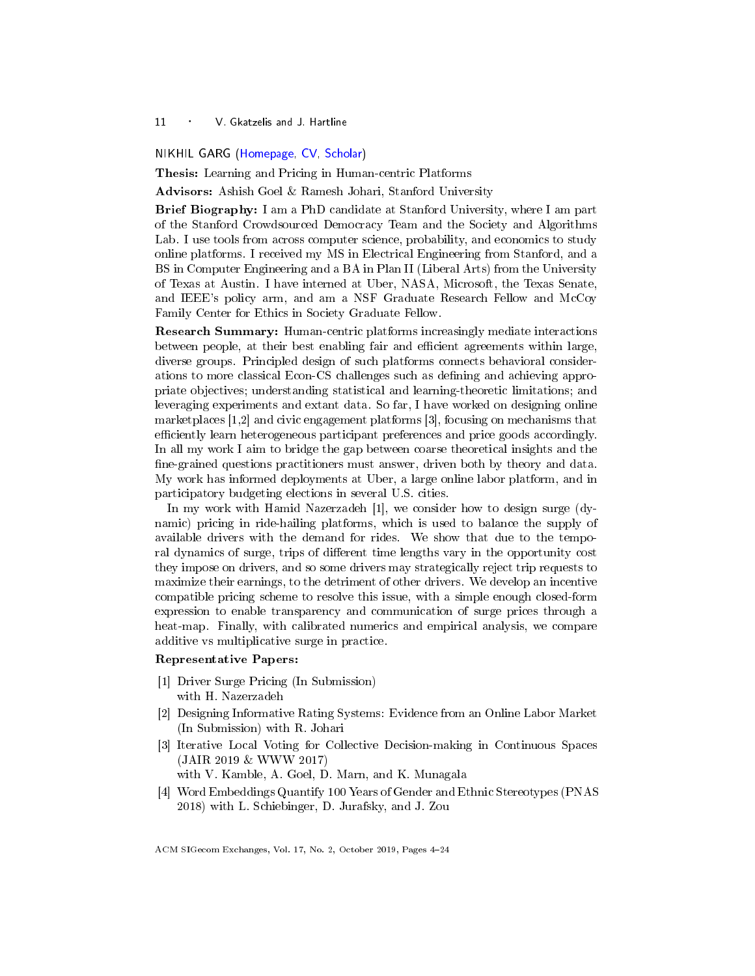#### <span id="page-7-1"></span><span id="page-7-0"></span>NIKHIL GARG [\(Homepage,](https://gargnikhil.com/) [CV,](https://gargnikhil.com/files/GargNikhilCV.pdf) [Scholar\)](https://scholar.google.com/citations?user=8qSK3noAAAAJ&hl=en&oi=ao)

Thesis: Learning and Pricing in Human-centric Platforms

Advisors: Ashish Goel & Ramesh Johari, Stanford University

Brief Biography: I am a PhD candidate at Stanford University, where I am part of the Stanford Crowdsourced Democracy Team and the Society and Algorithms Lab. I use tools from across computer science, probability, and economics to study online platforms. I received my MS in Electrical Engineering from Stanford, and a BS in Computer Engineering and a BA in Plan II (Liberal Arts) from the University of Texas at Austin. I have interned at Uber, NASA, Microsoft, the Texas Senate, and IEEE's policy arm, and am a NSF Graduate Research Fellow and McCoy Family Center for Ethics in Society Graduate Fellow.

Research Summary: Human-centric platforms increasingly mediate interactions between people, at their best enabling fair and efficient agreements within large, diverse groups. Principled design of such platforms connects behavioral considerations to more classical Econ-CS challenges such as dening and achieving appropriate objectives; understanding statistical and learning-theoretic limitations; and leveraging experiments and extant data. So far, I have worked on designing online marketplaces [1,2] and civic engagement platforms [3], focusing on mechanisms that efficiently learn heterogeneous participant preferences and price goods accordingly. In all my work I aim to bridge the gap between coarse theoretical insights and the fine-grained questions practitioners must answer, driven both by theory and data. My work has informed deployments at Uber, a large online labor platform, and in participatory budgeting elections in several U.S. cities.

In my work with Hamid Nazerzadeh [1], we consider how to design surge (dynamic) pricing in ride-hailing platforms, which is used to balance the supply of available drivers with the demand for rides. We show that due to the temporal dynamics of surge, trips of different time lengths vary in the opportunity cost they impose on drivers, and so some drivers may strategically reject trip requests to maximize their earnings, to the detriment of other drivers. We develop an incentive compatible pricing scheme to resolve this issue, with a simple enough closed-form expression to enable transparency and communication of surge prices through a heat-map. Finally, with calibrated numerics and empirical analysis, we compare additive vs multiplicative surge in practice.

#### Representative Papers:

- [1] Driver Surge Pricing (In Submission) with H. Nazerzadeh
- [2] Designing Informative Rating Systems: Evidence from an Online Labor Market (In Submission) with R. Johari
- [3] Iterative Local Voting for Collective Decision-making in Continuous Spaces (JAIR 2019 & WWW 2017)

with V. Kamble, A. Goel, D. Marn, and K. Munagala

[4] Word Embeddings Quantify 100 Years of Gender and Ethnic Stereotypes (PNAS 2018) with L. Schiebinger, D. Jurafsky, and J. Zou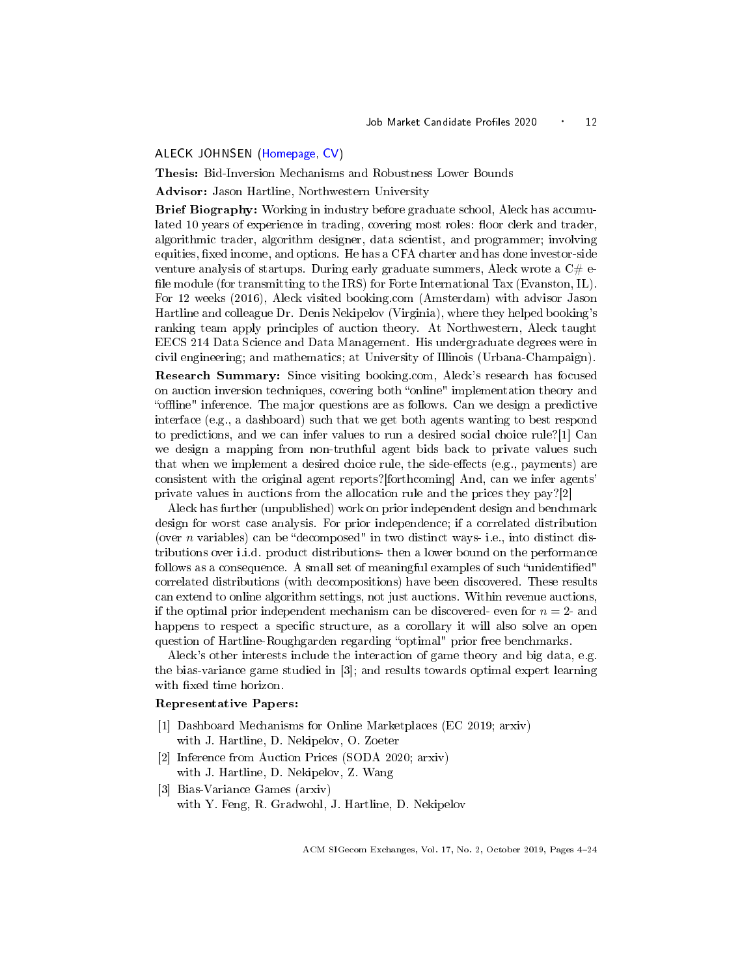#### <span id="page-8-1"></span><span id="page-8-0"></span>ALECK JOHNSEN [\(Homepage,](http://users.eecs.northwestern.edu/~acj861/) [CV\)](http://users.eecs.northwestern.edu/~acj861/cv.pdf)

Thesis: Bid-Inversion Mechanisms and Robustness Lower Bounds

Advisor: Jason Hartline, Northwestern University

Brief Biography: Working in industry before graduate school, Aleck has accumulated 10 years of experience in trading, covering most roles: floor clerk and trader, algorithmic trader, algorithm designer, data scientist, and programmer; involving equities, fixed income, and options. He has a CFA charter and has done investor-side venture analysis of startups. During early graduate summers, Aleck wrote a  $C#$  efile module (for transmitting to the IRS) for Forte International Tax (Evanston, IL). For 12 weeks (2016), Aleck visited booking.com (Amsterdam) with advisor Jason Hartline and colleague Dr. Denis Nekipelov (Virginia), where they helped booking's ranking team apply principles of auction theory. At Northwestern, Aleck taught EECS 214 Data Science and Data Management. His undergraduate degrees were in civil engineering; and mathematics; at University of Illinois (Urbana-Champaign).

Research Summary: Since visiting booking.com, Aleck's research has focused on auction inversion techniques, covering both "online" implementation theory and "offline" inference. The major questions are as follows. Can we design a predictive interface (e.g., a dashboard) such that we get both agents wanting to best respond to predictions, and we can infer values to run a desired social choice rule?[1] Can we design a mapping from non-truthful agent bids back to private values such that when we implement a desired choice rule, the side-effects (e.g., payments) are consistent with the original agent reports?[forthcoming] And, can we infer agents' private values in auctions from the allocation rule and the prices they pay?[2]

Aleck has further (unpublished) work on prior independent design and benchmark design for worst case analysis. For prior independence; if a correlated distribution (over  $n$  variables) can be "decomposed" in two distinct ways- i.e., into distinct distributions over i.i.d. product distributions- then a lower bound on the performance follows as a consequence. A small set of meaningful examples of such "unidentified" correlated distributions (with decompositions) have been discovered. These results can extend to online algorithm settings, not just auctions. Within revenue auctions, if the optimal prior independent mechanism can be discovered- even for  $n = 2$ - and happens to respect a specific structure, as a corollary it will also solve an open question of Hartline-Roughgarden regarding "optimal" prior free benchmarks.

Aleck's other interests include the interaction of game theory and big data, e.g. the bias-variance game studied in [3]; and results towards optimal expert learning with fixed time horizon.

#### Representative Papers:

- [1] Dashboard Mechanisms for Online Marketplaces (EC 2019; arxiv) with J. Hartline, D. Nekipelov, O. Zoeter
- [2] Inference from Auction Prices (SODA 2020; arxiv) with J. Hartline, D. Nekipelov, Z. Wang
- [3] Bias-Variance Games (arxiv) with Y. Feng, R. Gradwohl, J. Hartline, D. Nekipelov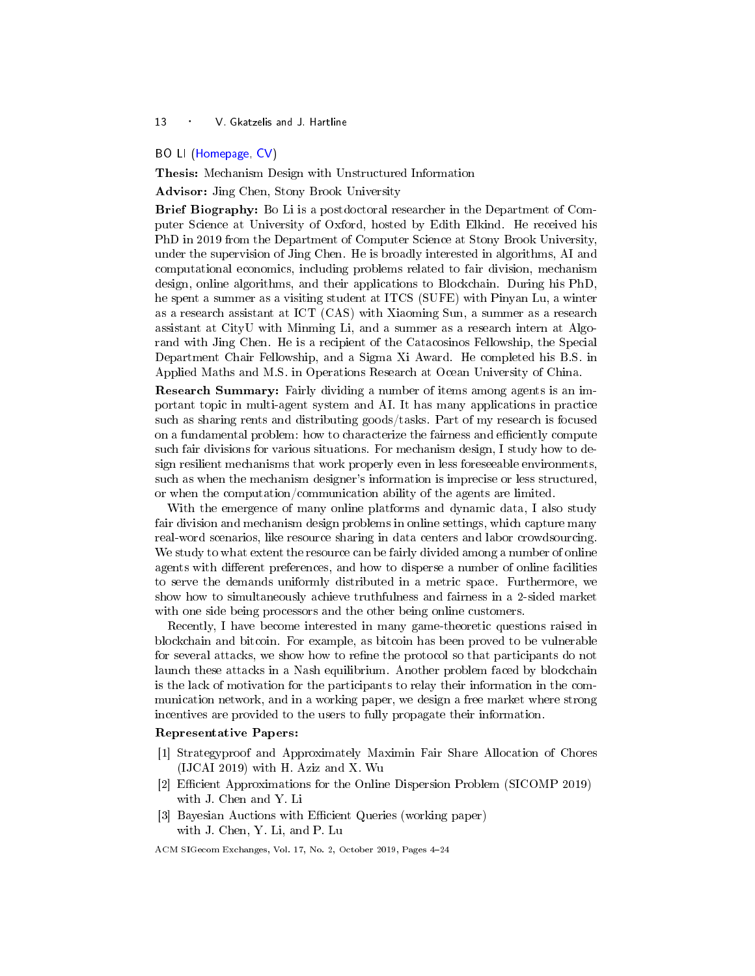# <span id="page-9-1"></span><span id="page-9-0"></span>BO LI [\(Homepage,](https://boli1989.github.io/homepage/) [CV\)](https://www.dropbox.com/s/w8yxvpuosseu38o/CV.pdf?dl=0)

Thesis: Mechanism Design with Unstructured Information

Advisor: Jing Chen, Stony Brook University

Brief Biography: Bo Li is a postdoctoral researcher in the Department of Computer Science at University of Oxford, hosted by Edith Elkind. He received his PhD in 2019 from the Department of Computer Science at Stony Brook University, under the supervision of Jing Chen. He is broadly interested in algorithms, AI and computational economics, including problems related to fair division, mechanism design, online algorithms, and their applications to Blockchain. During his PhD, he spent a summer as a visiting student at ITCS (SUFE) with Pinyan Lu, a winter as a research assistant at ICT (CAS) with Xiaoming Sun, a summer as a research assistant at CityU with Minming Li, and a summer as a research intern at Algorand with Jing Chen. He is a recipient of the Catacosinos Fellowship, the Special Department Chair Fellowship, and a Sigma Xi Award. He completed his B.S. in Applied Maths and M.S. in Operations Research at Ocean University of China.

Research Summary: Fairly dividing a number of items among agents is an important topic in multi-agent system and AI. It has many applications in practice such as sharing rents and distributing goods/tasks. Part of my research is focused on a fundamental problem: how to characterize the fairness and efficiently compute such fair divisions for various situations. For mechanism design, I study how to design resilient mechanisms that work properly even in less foreseeable environments, such as when the mechanism designer's information is imprecise or less structured, or when the computation/communication ability of the agents are limited.

With the emergence of many online platforms and dynamic data, I also study fair division and mechanism design problems in online settings, which capture many real-word scenarios, like resource sharing in data centers and labor crowdsourcing. We study to what extent the resource can be fairly divided among a number of online agents with different preferences, and how to disperse a number of online facilities to serve the demands uniformly distributed in a metric space. Furthermore, we show how to simultaneously achieve truthfulness and fairness in a 2-sided market with one side being processors and the other being online customers.

Recently, I have become interested in many game-theoretic questions raised in blockchain and bitcoin. For example, as bitcoin has been proved to be vulnerable for several attacks, we show how to refine the protocol so that participants do not launch these attacks in a Nash equilibrium. Another problem faced by blockchain is the lack of motivation for the participants to relay their information in the communication network, and in a working paper, we design a free market where strong incentives are provided to the users to fully propagate their information.

## Representative Papers:

- [1] Strategyproof and Approximately Maximin Fair Share Allocation of Chores (IJCAI 2019) with H. Aziz and X. Wu
- [2] Efficient Approximations for the Online Dispersion Problem (SICOMP 2019) with J. Chen and Y. Li
- [3] Bayesian Auctions with Efficient Queries (working paper) with J. Chen, Y. Li, and P. Lu
- ACM SIGecom Exchanges, Vol. 17, No. 2, October 2019, Pages [4](#page-0-0)-24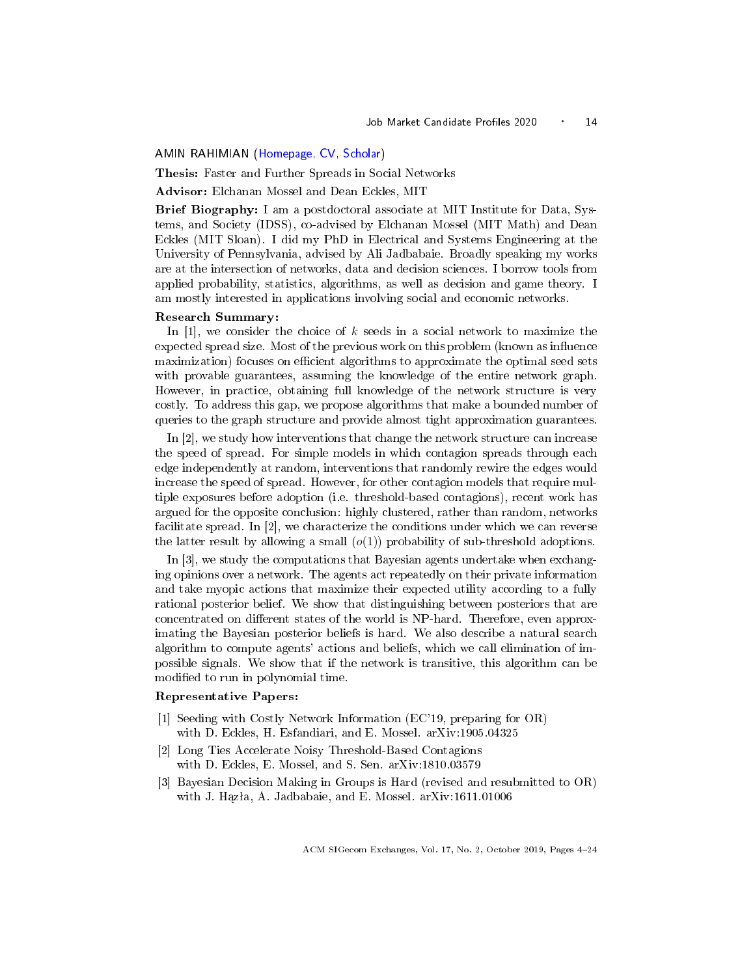#### <span id="page-10-1"></span><span id="page-10-0"></span>AMIN RAHIMIAN [\(Homepage,](https://aminrahimian.github.io) [CV,](https://drive.google.com/file/d/1nKI3N3sFKHuwqcKmp62kKYOhZ5Sa3eiN/view?usp=sharing) [Scholar\)](https://scholar.google.com/citations?user=t5TdzpwAAAAJ&hl=en&oi=ao)

Thesis: Faster and Further Spreads in Social Networks

Advisor: Elchanan Mossel and Dean Eckles, MIT

Brief Biography: I am a postdoctoral associate at MIT Institute for Data, Systems, and Society (IDSS), co-advised by Elchanan Mossel (MIT Math) and Dean Eckles (MIT Sloan). I did my PhD in Electrical and Systems Engineering at the University of Pennsylvania, advised by Ali Jadbabaie. Broadly speaking my works are at the intersection of networks, data and decision sciences. I borrow tools from applied probability, statistics, algorithms, as well as decision and game theory. I am mostly interested in applications involving social and economic networks.

#### Research Summary:

In  $[1]$ , we consider the choice of k seeds in a social network to maximize the expected spread size. Most of the previous work on this problem (known as influence maximization) focuses on efficient algorithms to approximate the optimal seed sets with provable guarantees, assuming the knowledge of the entire network graph. However, in practice, obtaining full knowledge of the network structure is very costly. To address this gap, we propose algorithms that make a bounded number of queries to the graph structure and provide almost tight approximation guarantees.

In [2], we study how interventions that change the network structure can increase the speed of spread. For simple models in which contagion spreads through each edge independently at random, interventions that randomly rewire the edges would increase the speed of spread. However, for other contagion models that require multiple exposures before adoption (i.e. threshold-based contagions), recent work has argued for the opposite conclusion: highly clustered, rather than random, networks facilitate spread. In [2], we characterize the conditions under which we can reverse the latter result by allowing a small  $(o(1))$  probability of sub-threshold adoptions.

In [3], we study the computations that Bayesian agents undertake when exchanging opinions over a network. The agents act repeatedly on their private information and take myopic actions that maximize their expected utility according to a fully rational posterior belief. We show that distinguishing between posteriors that are concentrated on different states of the world is NP-hard. Therefore, even approximating the Bayesian posterior beliefs is hard. We also describe a natural search algorithm to compute agents' actions and beliefs, which we call elimination of impossible signals. We show that if the network is transitive, this algorithm can be modified to run in polynomial time.

#### Representative Papers:

- [1] Seeding with Costly Network Information (EC'19, preparing for OR) with D. Eckles, H. Esfandiari, and E. Mossel. arXiv:1905.04325
- [2] Long Ties Accelerate Noisy Threshold-Based Contagions with D. Eckles, E. Mossel, and S. Sen. arXiv:1810.03579
- [3] Bayesian Decision Making in Groups is Hard (revised and resubmitted to OR) with J. Hązła, A. Jadbabaie, and E. Mossel. arXiv:1611.01006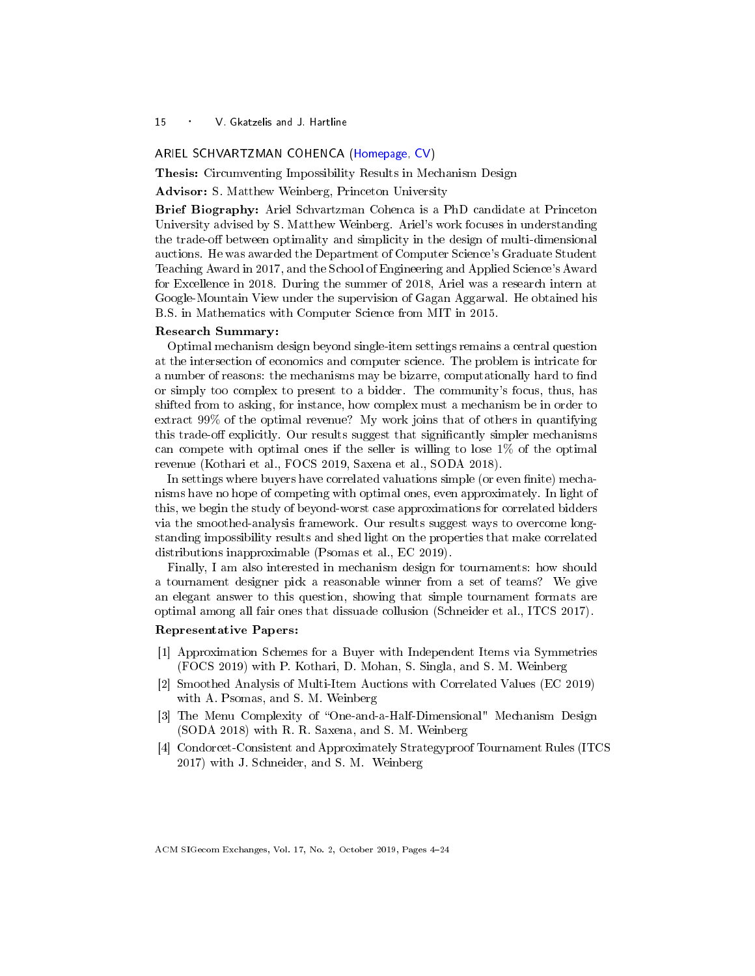#### <span id="page-11-1"></span><span id="page-11-0"></span>ARIEL SCHVARTZMAN COHENCA [\(Homepage,](https://sites.google.com/view/arielsch/) [CV\)](https://sites.google.com/view/arielsch/resume)

Thesis: Circumventing Impossibility Results in Mechanism Design

Advisor: S. Matthew Weinberg, Princeton University

Brief Biography: Ariel Schvartzman Cohenca is a PhD candidate at Princeton University advised by S. Matthew Weinberg. Ariel's work focuses in understanding the trade-off between optimality and simplicity in the design of multi-dimensional auctions. He was awarded the Department of Computer Science's Graduate Student Teaching Award in 2017, and the School of Engineering and Applied Science's Award for Excellence in 2018. During the summer of 2018, Ariel was a research intern at Google-Mountain View under the supervision of Gagan Aggarwal. He obtained his B.S. in Mathematics with Computer Science from MIT in 2015.

#### Research Summary:

Optimal mechanism design beyond single-item settings remains a central question at the intersection of economics and computer science. The problem is intricate for a number of reasons: the mechanisms may be bizarre, computationally hard to find or simply too complex to present to a bidder. The community's focus, thus, has shifted from to asking, for instance, how complex must a mechanism be in order to extract 99% of the optimal revenue? My work joins that of others in quantifying this trade-off explicitly. Our results suggest that significantly simpler mechanisms can compete with optimal ones if the seller is willing to lose 1% of the optimal revenue (Kothari et al., FOCS 2019, Saxena et al., SODA 2018).

In settings where buyers have correlated valuations simple (or even finite) mechanisms have no hope of competing with optimal ones, even approximately. In light of this, we begin the study of beyond-worst case approximations for correlated bidders via the smoothed-analysis framework. Our results suggest ways to overcome longstanding impossibility results and shed light on the properties that make correlated distributions inapproximable (Psomas et al., EC 2019).

Finally, I am also interested in mechanism design for tournaments: how should a tournament designer pick a reasonable winner from a set of teams? We give an elegant answer to this question, showing that simple tournament formats are optimal among all fair ones that dissuade collusion (Schneider et al., ITCS 2017).

## Representative Papers:

- [1] Approximation Schemes for a Buyer with Independent Items via Symmetries (FOCS 2019) with P. Kothari, D. Mohan, S. Singla, and S. M. Weinberg
- [2] Smoothed Analysis of Multi-Item Auctions with Correlated Values (EC 2019) with A. Psomas, and S. M. Weinberg
- [3] The Menu Complexity of "One-and-a-Half-Dimensional" Mechanism Design (SODA 2018) with R. R. Saxena, and S. M. Weinberg
- [4] Condorcet-Consistent and Approximately Strategyproof Tournament Rules (ITCS 2017) with J. Schneider, and S. M. Weinberg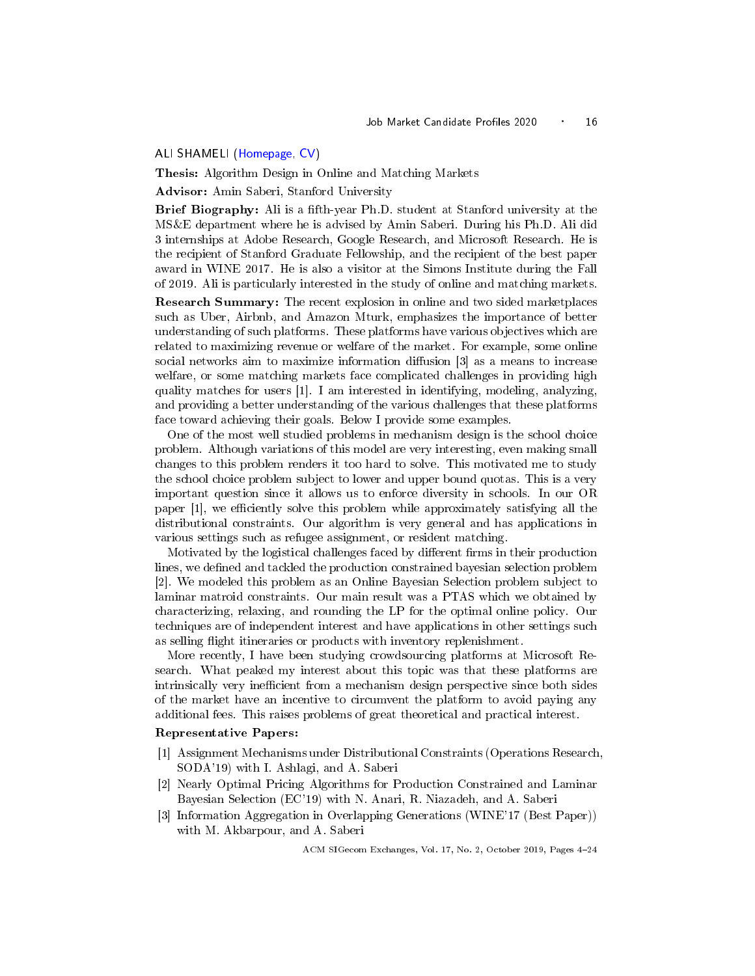## <span id="page-12-1"></span><span id="page-12-0"></span>ALI SHAMELI [\(Homepage,](http://stanford.edu/~shameli/) [CV\)](http://stanford.edu/~shameli/resume.pdf)

Thesis: Algorithm Design in Online and Matching Markets

Advisor: Amin Saberi, Stanford University

Brief Biography: Ali is a fth-year Ph.D. student at Stanford university at the MS&E department where he is advised by Amin Saberi. During his Ph.D. Ali did 3 internships at Adobe Research, Google Research, and Microsoft Research. He is the recipient of Stanford Graduate Fellowship, and the recipient of the best paper award in WINE 2017. He is also a visitor at the Simons Institute during the Fall of 2019. Ali is particularly interested in the study of online and matching markets.

Research Summary: The recent explosion in online and two sided marketplaces such as Uber, Airbnb, and Amazon Mturk, emphasizes the importance of better understanding of such platforms. These platforms have various objectives which are related to maximizing revenue or welfare of the market. For example, some online social networks aim to maximize information diffusion  $[3]$  as a means to increase welfare, or some matching markets face complicated challenges in providing high quality matches for users [1]. I am interested in identifying, modeling, analyzing, and providing a better understanding of the various challenges that these platforms face toward achieving their goals. Below I provide some examples.

One of the most well studied problems in mechanism design is the school choice problem. Although variations of this model are very interesting, even making small changes to this problem renders it too hard to solve. This motivated me to study the school choice problem subject to lower and upper bound quotas. This is a very important question since it allows us to enforce diversity in schools. In our OR paper  $[1]$ , we efficiently solve this problem while approximately satisfying all the distributional constraints. Our algorithm is very general and has applications in various settings such as refugee assignment, or resident matching.

Motivated by the logistical challenges faced by different firms in their production lines, we defined and tackled the production constrained bayesian selection problem [2]. We modeled this problem as an Online Bayesian Selection problem subject to laminar matroid constraints. Our main result was a PTAS which we obtained by characterizing, relaxing, and rounding the LP for the optimal online policy. Our techniques are of independent interest and have applications in other settings such as selling flight itineraries or products with inventory replenishment.

More recently, I have been studying crowdsourcing platforms at Microsoft Research. What peaked my interest about this topic was that these platforms are intrinsically very inefficient from a mechanism design perspective since both sides of the market have an incentive to circumvent the platform to avoid paying any additional fees. This raises problems of great theoretical and practical interest.

#### Representative Papers:

- [1] Assignment Mechanisms under Distributional Constraints (Operations Research, SODA'19) with I. Ashlagi, and A. Saberi
- [2] Nearly Optimal Pricing Algorithms for Production Constrained and Laminar Bayesian Selection (EC'19) with N. Anari, R. Niazadeh, and A. Saberi
- [3] Information Aggregation in Overlapping Generations (WINE'17 (Best Paper)) with M. Akbarpour, and A. Saberi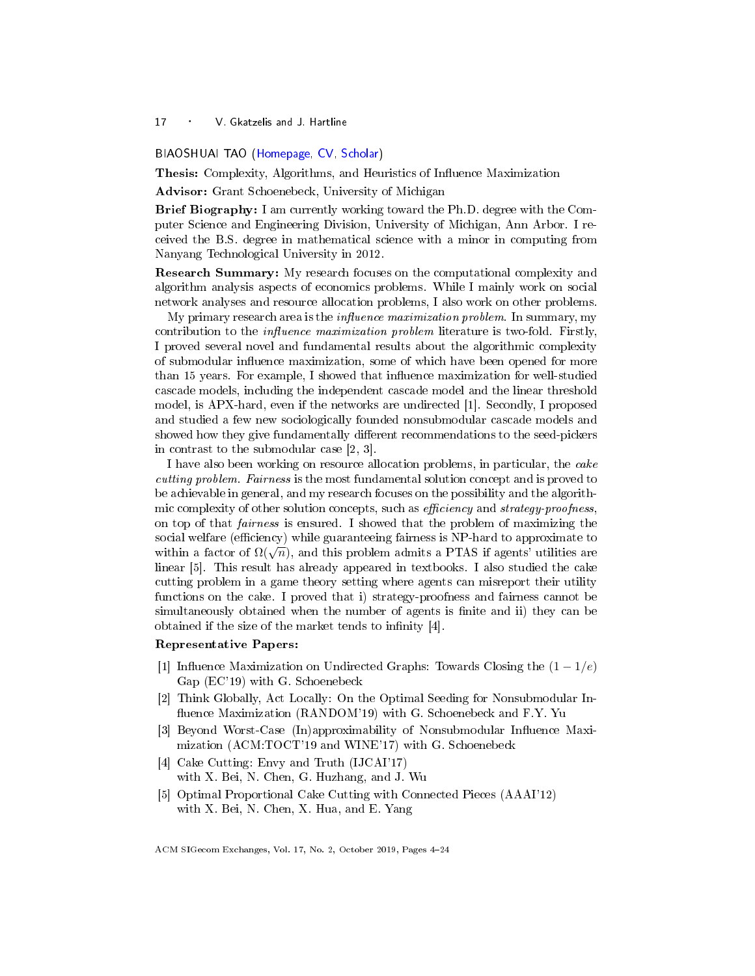#### <span id="page-13-1"></span><span id="page-13-0"></span>BIAOSHUAI TAO [\(Homepage,](http://www-personal.umich.edu/~bstao/) [CV,](http://www-personal.umich.edu/~bstao/Biaoshuai_Tao_files/CV.pdf) [Scholar\)](https://scholar.google.com/citations?user=F65i6zcAAAAJ&hl=en&oi=ao)

Thesis: Complexity, Algorithms, and Heuristics of Influence Maximization

Advisor: Grant Schoenebeck, University of Michigan

Brief Biography: I am currently working toward the Ph.D. degree with the Computer Science and Engineering Division, University of Michigan, Ann Arbor. I received the B.S. degree in mathematical science with a minor in computing from Nanyang Technological University in 2012.

Research Summary: My research focuses on the computational complexity and algorithm analysis aspects of economics problems. While I mainly work on social network analyses and resource allocation problems, I also work on other problems.

My primary research area is the *influence maximization problem*. In summary, my contribution to the *influence maximization problem* literature is two-fold. Firstly, I proved several novel and fundamental results about the algorithmic complexity of submodular influence maximization, some of which have been opened for more than 15 years. For example, I showed that influence maximization for well-studied cascade models, including the independent cascade model and the linear threshold model, is APX-hard, even if the networks are undirected [1]. Secondly, I proposed and studied a few new sociologically founded nonsubmodular cascade models and showed how they give fundamentally different recommendations to the seed-pickers in contrast to the submodular case [2, 3].

I have also been working on resource allocation problems, in particular, the cake cutting problem. Fairness is the most fundamental solution concept and is proved to be achievable in general, and my research focuses on the possibility and the algorithmic complexity of other solution concepts, such as  $efficiency$  and  $strategy$ -proofness, on top of that fairness is ensured. I showed that the problem of maximizing the social welfare (efficiency) while guaranteeing fairness is NP-hard to approximate to social weilare (enterictly) while guaranteeing ramess is ivi-hard to approximate to within a factor of  $\Omega(\sqrt{n})$ , and this problem admits a PTAS if agents' utilities are linear [5]. This result has already appeared in textbooks. I also studied the cake cutting problem in a game theory setting where agents can misreport their utility functions on the cake. I proved that i) strategy-proofness and fairness cannot be simultaneously obtained when the number of agents is finite and ii) they can be obtained if the size of the market tends to infinity  $[4]$ .

#### Representative Papers:

- [1] Influence Maximization on Undirected Graphs: Towards Closing the  $(1 1/e)$ Gap (EC'19) with G. Schoenebeck
- [2] Think Globally, Act Locally: On the Optimal Seeding for Nonsubmodular In fluence Maximization (RANDOM'19) with G. Schoenebeck and F.Y. Yu
- [3] Beyond Worst-Case (In)approximability of Nonsubmodular Influence Maximization (ACM:TOCT'19 and WINE'17) with G. Schoenebeck
- [4] Cake Cutting: Envy and Truth (IJCAI'17) with X. Bei, N. Chen, G. Huzhang, and J. Wu
- [5] Optimal Proportional Cake Cutting with Connected Pieces (AAAI'12) with X. Bei, N. Chen, X. Hua, and E. Yang

ACM SIGecom Exchanges, Vol. 17, No. 2, October 2019, Pages [4](#page-0-0)-24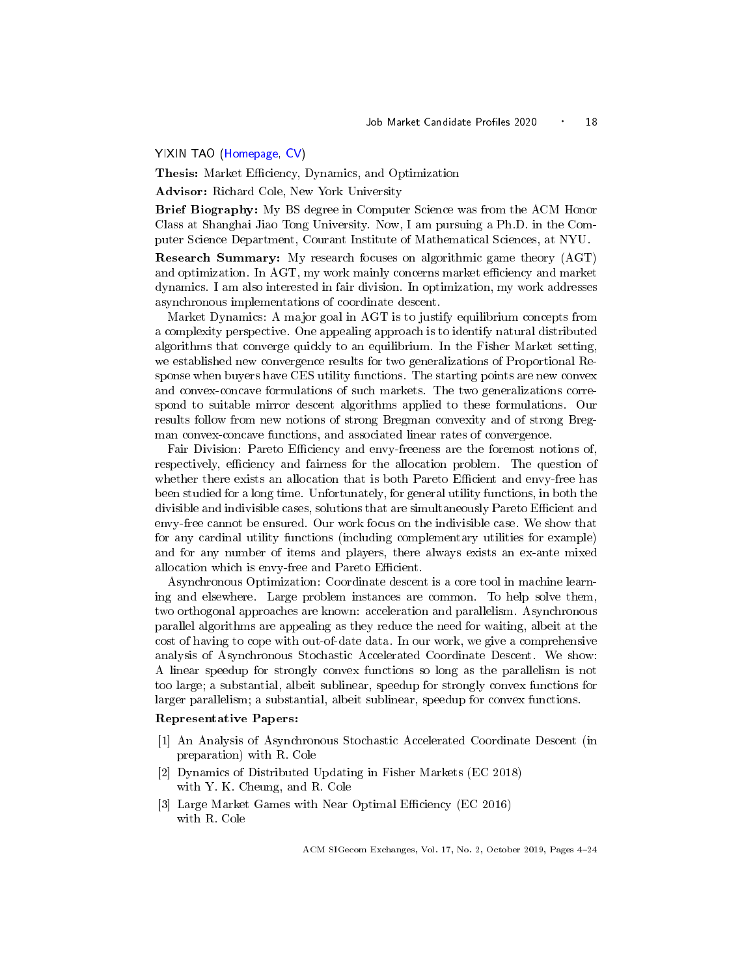<span id="page-14-1"></span><span id="page-14-0"></span>YIXIN TAO [\(Homepage,](https://tomtao26.github.io/) [CV\)](https://tomtao26.github.io/assets/files/cv_4.pdf)

Thesis: Market Efficiency, Dynamics, and Optimization

Advisor: Richard Cole, New York University

Brief Biography: My BS degree in Computer Science was from the ACM Honor Class at Shanghai Jiao Tong University. Now, I am pursuing a Ph.D. in the Computer Science Department, Courant Institute of Mathematical Sciences, at NYU.

Research Summary: My research focuses on algorithmic game theory (AGT) and optimization. In  $AGT$ , my work mainly concerns market efficiency and market dynamics. I am also interested in fair division. In optimization, my work addresses asynchronous implementations of coordinate descent.

Market Dynamics: A major goal in AGT is to justify equilibrium concepts from a complexity perspective. One appealing approach is to identify natural distributed algorithms that converge quickly to an equilibrium. In the Fisher Market setting, we established new convergence results for two generalizations of Proportional Response when buyers have CES utility functions. The starting points are new convex and convex-concave formulations of such markets. The two generalizations correspond to suitable mirror descent algorithms applied to these formulations. Our results follow from new notions of strong Bregman convexity and of strong Bregman convex-concave functions, and associated linear rates of convergence.

Fair Division: Pareto Efficiency and envy-freeness are the foremost notions of, respectively, efficiency and fairness for the allocation problem. The question of whether there exists an allocation that is both Pareto Efficient and envy-free has been studied for a long time. Unfortunately, for general utility functions, in both the divisible and indivisible cases, solutions that are simultaneously Pareto Efficient and envy-free cannot be ensured. Our work focus on the indivisible case. We show that for any cardinal utility functions (including complementary utilities for example) and for any number of items and players, there always exists an ex-ante mixed allocation which is envy-free and Pareto Efficient.

Asynchronous Optimization: Coordinate descent is a core tool in machine learning and elsewhere. Large problem instances are common. To help solve them, two orthogonal approaches are known: acceleration and parallelism. Asynchronous parallel algorithms are appealing as they reduce the need for waiting, albeit at the cost of having to cope with out-of-date data. In our work, we give a comprehensive analysis of Asynchronous Stochastic Accelerated Coordinate Descent. We show: A linear speedup for strongly convex functions so long as the parallelism is not too large; a substantial, albeit sublinear, speedup for strongly convex functions for larger parallelism; a substantial, albeit sublinear, speedup for convex functions.

#### Representative Papers:

- [1] An Analysis of Asynchronous Stochastic Accelerated Coordinate Descent (in preparation) with R. Cole
- [2] Dynamics of Distributed Updating in Fisher Markets (EC 2018) with Y. K. Cheung, and R. Cole
- [3] Large Market Games with Near Optimal Efficiency (EC 2016) with R. Cole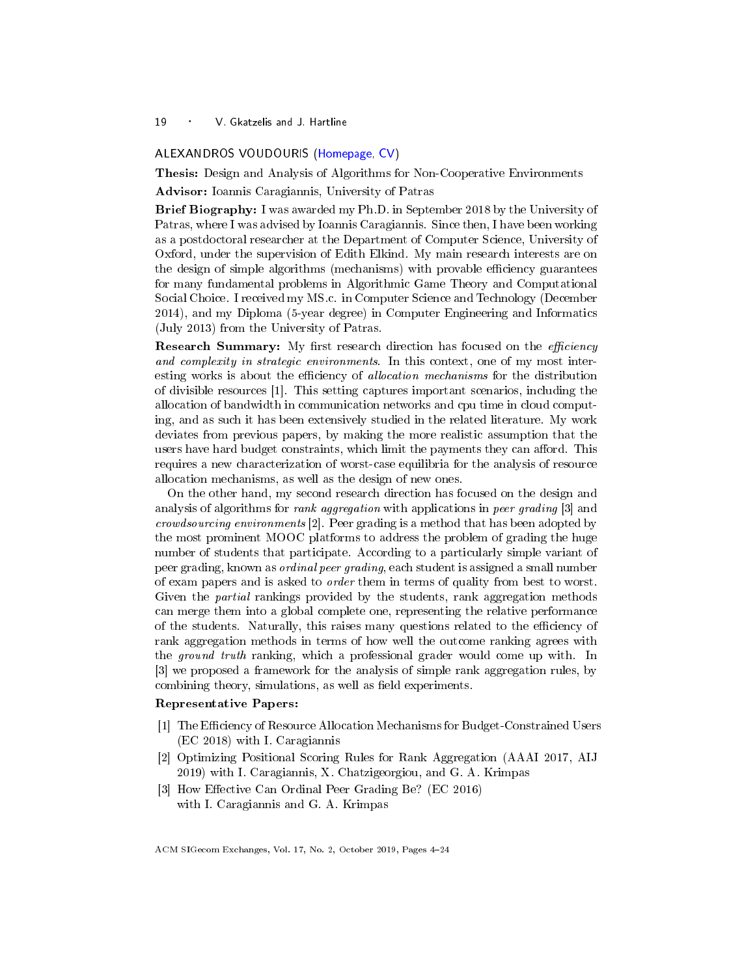#### <span id="page-15-1"></span><span id="page-15-0"></span>ALEXANDROS VOUDOURIS [\(Homepage,](http://students.ceid.upatras.gr/~voudouris/) [CV\)](http://students.ceid.upatras.gr/~voudouris/cv-voudouris.pdf)

Thesis: Design and Analysis of Algorithms for Non-Cooperative Environments

Advisor: Ioannis Caragiannis, University of Patras

Brief Biography: I was awarded my Ph.D. in September 2018 by the University of Patras, where I was advised by Ioannis Caragiannis. Since then, I have been working as a postdoctoral researcher at the Department of Computer Science, University of Oxford, under the supervision of Edith Elkind. My main research interests are on the design of simple algorithms (mechanisms) with provable efficiency guarantees for many fundamental problems in Algorithmic Game Theory and Computational Social Choice. I received my MS.c. in Computer Science and Technology (December 2014), and my Diploma (5-year degree) in Computer Engineering and Informatics (July 2013) from the University of Patras.

Research Summary: My first research direction has focused on the *efficiency* and complexity in strategic environments. In this context, one of my most interesting works is about the efficiency of *allocation mechanisms* for the distribution of divisible resources [1]. This setting captures important scenarios, including the allocation of bandwidth in communication networks and cpu time in cloud computing, and as such it has been extensively studied in the related literature. My work deviates from previous papers, by making the more realistic assumption that the users have hard budget constraints, which limit the payments they can afford. This requires a new characterization of worst-case equilibria for the analysis of resource allocation mechanisms, as well as the design of new ones.

On the other hand, my second research direction has focused on the design and analysis of algorithms for rank aggregation with applications in peer grading [3] and crowdsourcing environments [2]. Peer grading is a method that has been adopted by the most prominent MOOC platforms to address the problem of grading the huge number of students that participate. According to a particularly simple variant of peer grading, known as ordinal peer grading, each student is assigned a small number of exam papers and is asked to order them in terms of quality from best to worst. Given the *partial* rankings provided by the students, rank aggregation methods can merge them into a global complete one, representing the relative performance of the students. Naturally, this raises many questions related to the efficiency of rank aggregation methods in terms of how well the outcome ranking agrees with the *ground truth* ranking, which a professional grader would come up with. In [3] we proposed a framework for the analysis of simple rank aggregation rules, by combining theory, simulations, as well as field experiments.

# Representative Papers:

- [1] The Efficiency of Resource Allocation Mechanisms for Budget-Constrained Users (EC 2018) with I. Caragiannis
- [2] Optimizing Positional Scoring Rules for Rank Aggregation (AAAI 2017, AIJ 2019) with I. Caragiannis, X. Chatzigeorgiou, and G. A. Krimpas
- [3] How Effective Can Ordinal Peer Grading Be? (EC 2016) with I. Caragiannis and G. A. Krimpas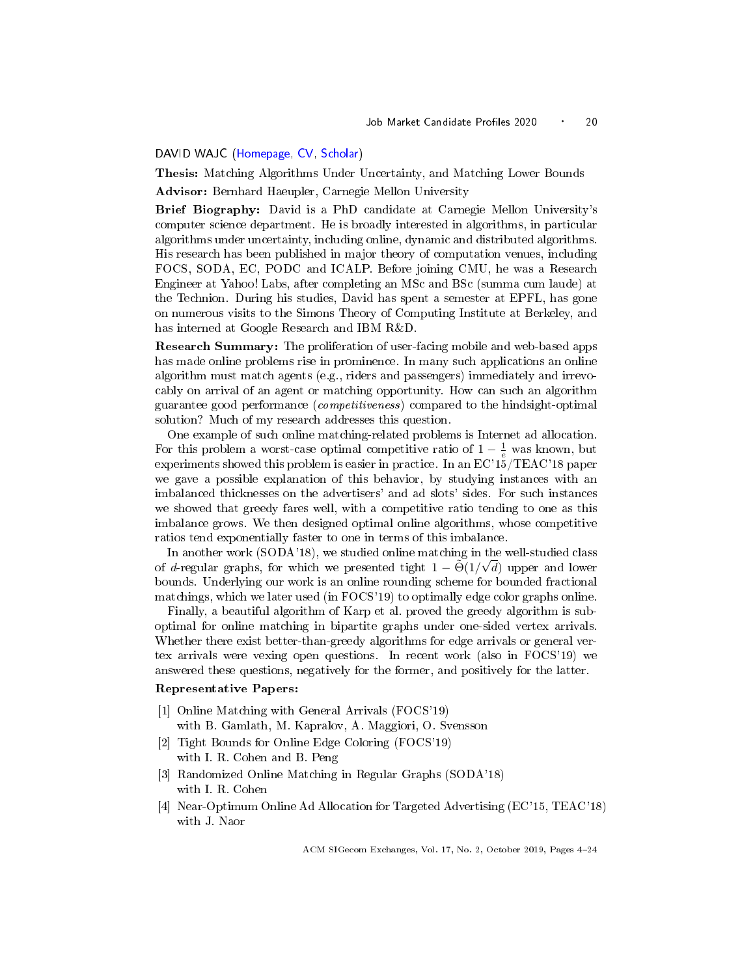## <span id="page-16-1"></span><span id="page-16-0"></span>DAVID WAJC [\(Homepage,](http://www.cs.cmu.edu/~dwajc) [CV,](http://www.cs.cmu.edu/~dwajc/pdfs/DavidWajc_CV.pdf) [Scholar\)](https://scholar.google.com/citations?user=eV8u3CoAAAAJ)

Thesis: Matching Algorithms Under Uncertainty, and Matching Lower Bounds

Advisor: Bernhard Haeupler, Carnegie Mellon University

Brief Biography: David is a PhD candidate at Carnegie Mellon University's computer science department. He is broadly interested in algorithms, in particular algorithms under uncertainty, including online, dynamic and distributed algorithms. His research has been published in major theory of computation venues, including FOCS, SODA, EC, PODC and ICALP. Before joining CMU, he was a Research Engineer at Yahoo! Labs, after completing an MSc and BSc (summa cum laude) at the Technion. During his studies, David has spent a semester at EPFL, has gone on numerous visits to the Simons Theory of Computing Institute at Berkeley, and has interned at Google Research and IBM R&D.

Research Summary: The proliferation of user-facing mobile and web-based apps has made online problems rise in prominence. In many such applications an online algorithm must match agents (e.g., riders and passengers) immediately and irrevocably on arrival of an agent or matching opportunity. How can such an algorithm guarantee good performance (competitiveness) compared to the hindsight-optimal solution? Much of my research addresses this question.

One example of such online matching-related problems is Internet ad allocation. For this problem a worst-case optimal competitive ratio of  $1 - \frac{1}{e}$  was known, but experiments showed this problem is easier in practice. In an EC'15/TEAC'18 paper we gave a possible explanation of this behavior, by studying instances with an imbalanced thicknesses on the advertisers' and ad slots' sides. For such instances we showed that greedy fares well, with a competitive ratio tending to one as this imbalance grows. We then designed optimal online algorithms, whose competitive ratios tend exponentially faster to one in terms of this imbalance.

In another work (SODA'18), we studied online matching in the well-studied class of d-regular graphs, for which we presented tight  $1 - \widetilde{\Theta}(1/\sqrt{d})$  upper and lower bounds. Underlying our work is an online rounding scheme for bounded fractional matchings, which we later used (in FOCS'19) to optimally edge color graphs online.

Finally, a beautiful algorithm of Karp et al. proved the greedy algorithm is suboptimal for online matching in bipartite graphs under one-sided vertex arrivals. Whether there exist better-than-greedy algorithms for edge arrivals or general vertex arrivals were vexing open questions. In recent work (also in FOCS'19) we answered these questions, negatively for the former, and positively for the latter.

#### Representative Papers:

- [1] Online Matching with General Arrivals (FOCS'19) with B. Gamlath, M. Kapralov, A. Maggiori, O. Svensson
- [2] Tight Bounds for Online Edge Coloring (FOCS'19) with I. R. Cohen and B. Peng
- [3] Randomized Online Matching in Regular Graphs (SODA'18) with I. R. Cohen
- [4] Near-Optimum Online Ad Allocation for Targeted Advertising (EC'15, TEAC'18) with J. Naor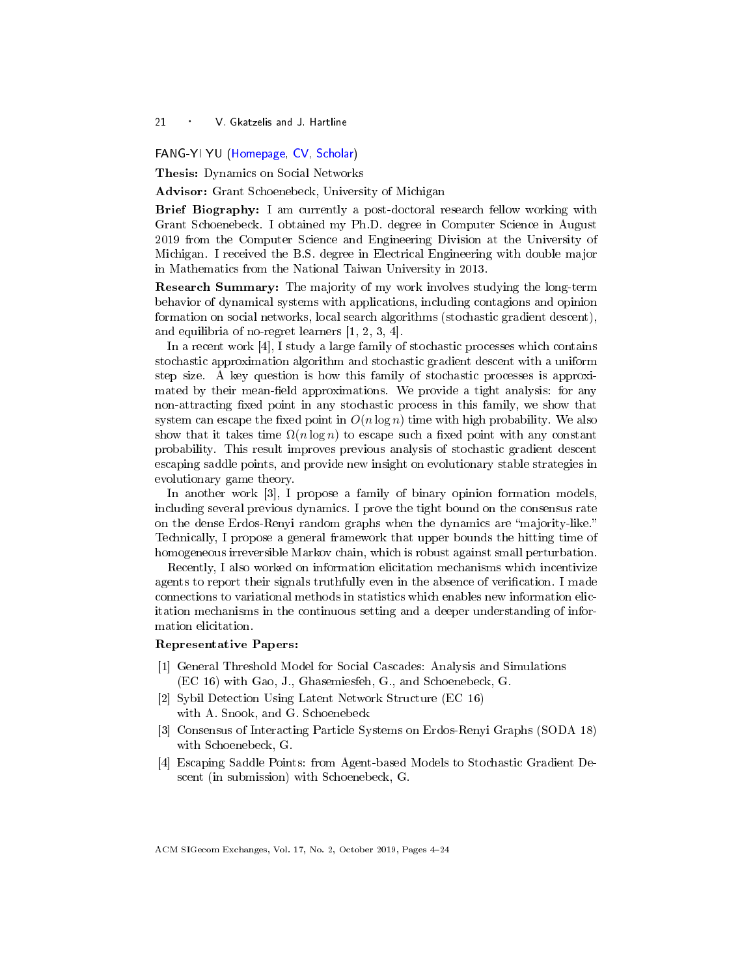#### <span id="page-17-1"></span><span id="page-17-0"></span>FANG-YI YU [\(Homepage,](http://www-personal.umich.edu/~fayu/index.html) [CV,](http://www-personal.umich.edu/~fayu/CV.pdf) [Scholar\)](https://scholar.google.com/citations?user=LhLBzWEAAAAJ&hl=en)

Thesis: Dynamics on Social Networks

Advisor: Grant Schoenebeck, University of Michigan

Brief Biography: I am currently a post-doctoral research fellow working with Grant Schoenebeck. I obtained my Ph.D. degree in Computer Science in August 2019 from the Computer Science and Engineering Division at the University of Michigan. I received the B.S. degree in Electrical Engineering with double major in Mathematics from the National Taiwan University in 2013.

Research Summary: The majority of my work involves studying the long-term behavior of dynamical systems with applications, including contagions and opinion formation on social networks, local search algorithms (stochastic gradient descent), and equilibria of no-regret learners [1, 2, 3, 4].

In a recent work [4], I study a large family of stochastic processes which contains stochastic approximation algorithm and stochastic gradient descent with a uniform step size. A key question is how this family of stochastic processes is approximated by their mean-field approximations. We provide a tight analysis: for any non-attracting fixed point in any stochastic process in this family, we show that system can escape the fixed point in  $O(n \log n)$  time with high probability. We also show that it takes time  $\Omega(n \log n)$  to escape such a fixed point with any constant probability. This result improves previous analysis of stochastic gradient descent escaping saddle points, and provide new insight on evolutionary stable strategies in evolutionary game theory.

In another work [3], I propose a family of binary opinion formation models, including several previous dynamics. I prove the tight bound on the consensus rate on the dense Erdos-Renyi random graphs when the dynamics are "majority-like." Technically, I propose a general framework that upper bounds the hitting time of homogeneous irreversible Markov chain, which is robust against small perturbation.

Recently, I also worked on information elicitation mechanisms which incentivize agents to report their signals truthfully even in the absence of verification. I made connections to variational methods in statistics which enables new information elicitation mechanisms in the continuous setting and a deeper understanding of information elicitation.

## Representative Papers:

- [1] General Threshold Model for Social Cascades: Analysis and Simulations (EC 16) with Gao, J., Ghasemiesfeh, G., and Schoenebeck, G.
- [2] Sybil Detection Using Latent Network Structure (EC 16) with A. Snook, and G. Schoenebeck
- [3] Consensus of Interacting Particle Systems on Erdos-Renyi Graphs (SODA 18) with Schoenebeck, G.
- [4] Escaping Saddle Points: from Agent-based Models to Stochastic Gradient Descent (in submission) with Schoenebeck, G.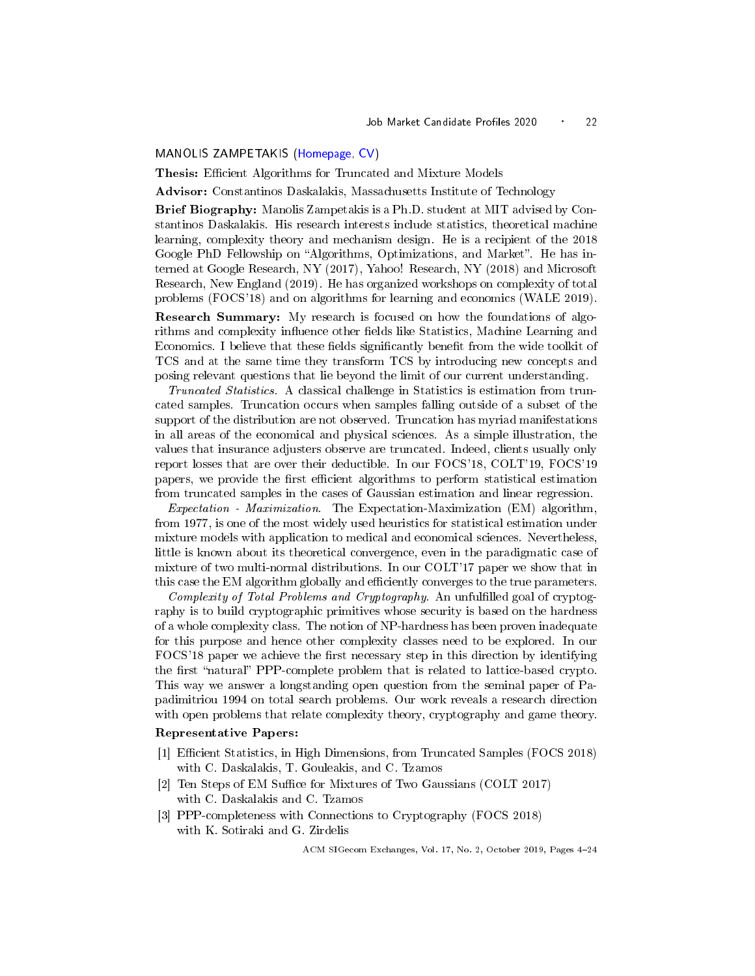#### <span id="page-18-1"></span><span id="page-18-0"></span>MANOLIS ZAMPETAKIS [\(Homepage,](https://www.mit.edu/~mzampet/) [CV\)](https://www.mit.edu/~mzampet/files/CV.pdf)

Thesis: Efficient Algorithms for Truncated and Mixture Models

Advisor: Constantinos Daskalakis, Massachusetts Institute of Technology

Brief Biography: Manolis Zampetakis is a Ph.D. student at MIT advised by Constantinos Daskalakis. His research interests include statistics, theoretical machine learning, complexity theory and mechanism design. He is a recipient of the 2018 Google PhD Fellowship on "Algorithms, Optimizations, and Market". He has interned at Google Research, NY (2017), Yahoo! Research, NY (2018) and Microsoft Research, New England (2019). He has organized workshops on complexity of total problems (FOCS'18) and on algorithms for learning and economics (WALE 2019).

Research Summary: My research is focused on how the foundations of algorithms and complexity influence other fields like Statistics, Machine Learning and Economics. I believe that these fields significantly benefit from the wide toolkit of TCS and at the same time they transform TCS by introducing new concepts and posing relevant questions that lie beyond the limit of our current understanding.

Truncated Statistics. A classical challenge in Statistics is estimation from truncated samples. Truncation occurs when samples falling outside of a subset of the support of the distribution are not observed. Truncation has myriad manifestations in all areas of the economical and physical sciences. As a simple illustration, the values that insurance adjusters observe are truncated. Indeed, clients usually only report losses that are over their deductible. In our FOCS'18, COLT'19, FOCS'19 papers, we provide the first efficient algorithms to perform statistical estimation from truncated samples in the cases of Gaussian estimation and linear regression.

Expectation - Maximization. The Expectation-Maximization (EM) algorithm, from 1977, is one of the most widely used heuristics for statistical estimation under mixture models with application to medical and economical sciences. Nevertheless, little is known about its theoretical convergence, even in the paradigmatic case of mixture of two multi-normal distributions. In our COLT'17 paper we show that in this case the EM algorithm globally and efficiently converges to the true parameters.

Complexity of Total Problems and Cryptography. An unfulfilled goal of cryptography is to build cryptographic primitives whose security is based on the hardness of a whole complexity class. The notion of NP-hardness has been proven inadequate for this purpose and hence other complexity classes need to be explored. In our FOCS'18 paper we achieve the first necessary step in this direction by identifying the first "natural" PPP-complete problem that is related to lattice-based crypto. This way we answer a longstanding open question from the seminal paper of Papadimitriou 1994 on total search problems. Our work reveals a research direction with open problems that relate complexity theory, cryptography and game theory.

#### Representative Papers:

- [1] Efficient Statistics, in High Dimensions, from Truncated Samples (FOCS 2018) with C. Daskalakis, T. Gouleakis, and C. Tzamos
- [2] Ten Steps of EM Suffice for Mixtures of Two Gaussians (COLT 2017) with C. Daskalakis and C. Tzamos
- [3] PPP-completeness with Connections to Cryptography (FOCS 2018) with K. Sotiraki and G. Zirdelis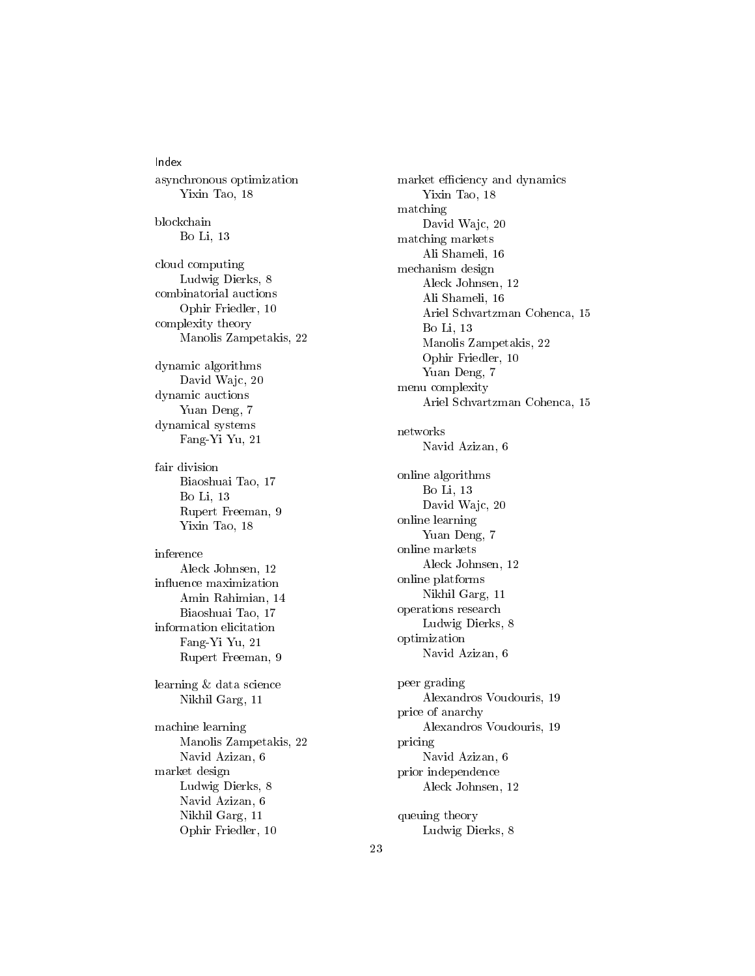Index asynchronous optimization Yixin Tao, [18](#page-14-1) blockchain Bo Li, [13](#page-9-1) cloud computing Ludwig Dierks, [8](#page-4-1) combinatorial auctions Ophir Friedler, [10](#page-6-1) complexity theory Manolis Zampetakis, [22](#page-18-1) dynamic algorithms David Wajc, [20](#page-16-1) dynamic auctions Yuan Deng, [7](#page-3-1) dynamical systems Fang-Yi Yu, [21](#page-17-1) fair division Biaoshuai Tao, [17](#page-13-1) Bo Li, [13](#page-9-1) Rupert Freeman, [9](#page-5-1) Yixin Tao, [18](#page-14-1) inference Aleck Johnsen, [12](#page-8-1) influence maximization Amin Rahimian, [14](#page-10-1) Biaoshuai Tao, [17](#page-13-1) information elicitation Fang-Yi Yu, [21](#page-17-1) Rupert Freeman, [9](#page-5-1) learning & data science Nikhil Garg, [11](#page-7-1) machine learning Manolis Zampetakis, [22](#page-18-1) Navid Azizan, [6](#page-2-1) market design Ludwig Dierks, [8](#page-4-1) Navid Azizan, [6](#page-2-1) Nikhil Garg, [11](#page-7-1) Ophir Friedler, [10](#page-6-1)

market efficiency and dynamics Yixin Tao, [18](#page-14-1) matching David Wajc, [20](#page-16-1) matching markets Ali Shameli, [16](#page-12-1) mechanism design Aleck Johnsen, [12](#page-8-1) Ali Shameli, [16](#page-12-1) Ariel Schvartzman Cohenca, [15](#page-11-1) Bo Li, [13](#page-9-1) Manolis Zampetakis, [22](#page-18-1) Ophir Friedler, [10](#page-6-1) Yuan Deng, [7](#page-3-1) menu complexity Ariel Schvartzman Cohenca, [15](#page-11-1) networks Navid Azizan, [6](#page-2-1) online algorithms Bo Li, [13](#page-9-1) David Wajc, [20](#page-16-1) online learning Yuan Deng, [7](#page-3-1) online markets Aleck Johnsen, [12](#page-8-1) online platforms Nikhil Garg, [11](#page-7-1) operations research Ludwig Dierks, [8](#page-4-1) optimization Navid Azizan, [6](#page-2-1) peer grading Alexandros Voudouris, [19](#page-15-1) price of anarchy Alexandros Voudouris, [19](#page-15-1) pricing Navid Azizan, [6](#page-2-1) prior independence Aleck Johnsen, [12](#page-8-1) queuing theory Ludwig Dierks, [8](#page-4-1)